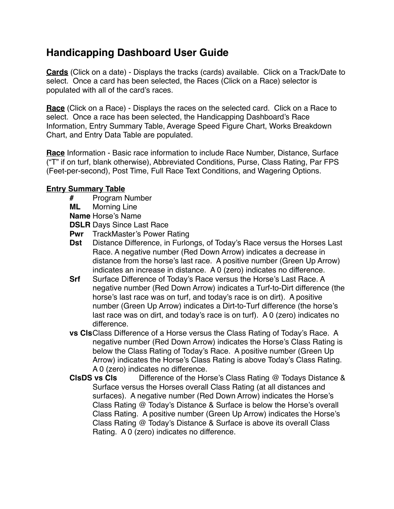## **Handicapping Dashboard User Guide**

**Cards** (Click on a date) - Displays the tracks (cards) available. Click on a Track/Date to select. Once a card has been selected, the Races (Click on a Race) selector is populated with all of the card's races.

**Race** (Click on a Race) - Displays the races on the selected card. Click on a Race to select. Once a race has been selected, the Handicapping Dashboard's Race Information, Entry Summary Table, Average Speed Figure Chart, Works Breakdown Chart, and Entry Data Table are populated.

**Race** Information - Basic race information to include Race Number, Distance, Surface ("T" if on turf, blank otherwise), Abbreviated Conditions, Purse, Class Rating, Par FPS (Feet-per-second), Post Time, Full Race Text Conditions, and Wagering Options.

## **Entry Summary Table**

- **#** Program Number
- **Morning Line**
- **Name** Horse's Name

**DSLR** Days Since Last Race

- **Pwr** TrackMaster's Power Rating
- **Dst** Distance Difference, in Furlongs, of Today's Race versus the Horses Last Race. A negative number (Red Down Arrow) indicates a decrease in distance from the horse's last race. A positive number (Green Up Arrow) indicates an increase in distance. A 0 (zero) indicates no difference.
- **Srf** Surface Difference of Today's Race versus the Horse's Last Race. A negative number (Red Down Arrow) indicates a Turf-to-Dirt difference (the horse's last race was on turf, and today's race is on dirt). A positive number (Green Up Arrow) indicates a Dirt-to-Turf difference (the horse's last race was on dirt, and today's race is on turf). A 0 (zero) indicates no difference.
- **vs Cls**Class Difference of a Horse versus the Class Rating of Today's Race. A negative number (Red Down Arrow) indicates the Horse's Class Rating is below the Class Rating of Today's Race. A positive number (Green Up Arrow) indicates the Horse's Class Rating is above Today's Class Rating. A 0 (zero) indicates no difference.
- **ClsDS vs Cls** Difference of the Horse's Class Rating @ Todays Distance & Surface versus the Horses overall Class Rating (at all distances and surfaces). A negative number (Red Down Arrow) indicates the Horse's Class Rating @ Today's Distance & Surface is below the Horse's overall Class Rating. A positive number (Green Up Arrow) indicates the Horse's Class Rating @ Today's Distance & Surface is above its overall Class Rating. A 0 (zero) indicates no difference.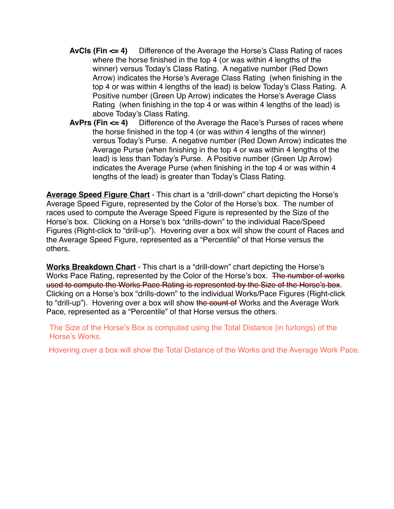- **AvCls (Fin <= 4)** Difference of the Average the Horse's Class Rating of races where the horse finished in the top 4 (or was within 4 lengths of the winner) versus Today's Class Rating. A negative number (Red Down Arrow) indicates the Horse's Average Class Rating (when finishing in the top 4 or was within 4 lengths of the lead) is below Today's Class Rating. A Positive number (Green Up Arrow) indicates the Horse's Average Class Rating (when finishing in the top 4 or was within 4 lengths of the lead) is above Today's Class Rating.
- **AvPrs (Fin <= 4)** Difference of the Average the Race's Purses of races where the horse finished in the top 4 (or was within 4 lengths of the winner) versus Today's Purse. A negative number (Red Down Arrow) indicates the Average Purse (when finishing in the top 4 or was within 4 lengths of the lead) is less than Today's Purse. A Positive number (Green Up Arrow) indicates the Average Purse (when finishing in the top 4 or was within 4 lengths of the lead) is greater than Today's Class Rating.

**Average Speed Figure Chart** - This chart is a "drill-down" chart depicting the Horse's Average Speed Figure, represented by the Color of the Horse's box. The number of races used to compute the Average Speed Figure is represented by the Size of the Horse's box. Clicking on a Horse's box "drills-down" to the individual Race/Speed Figures (Right-click to "drill-up"). Hovering over a box will show the count of Races and the Average Speed Figure, represented as a "Percentile" of that Horse versus the others.

**Works Breakdown Chart** - This chart is a "drill-down" chart depicting the Horse's Works Pace Rating, represented by the Color of the Horse's box. The number of works used to compute the Works Pace Rating is represented by the Size of the Horse's box. Clicking on a Horse's box "drills-down" to the individual Works/Pace Figures (Right-click to "drill-up"). Hovering over a box will show the count of Works and the Average Work Pace, represented as a "Percentile" of that Horse versus the others.

The Size of the Horse's Box is computed using the Total Distance (in furlongs) of the Horse's Works.

Hovering over a box will show the Total Distance of the Works and the Average Work Pace.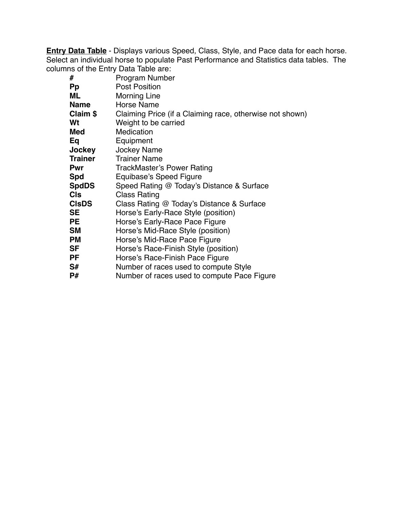**Entry Data Table** - Displays various Speed, Class, Style, and Pace data for each horse. Select an individual horse to populate Past Performance and Statistics data tables. The columns of the Entry Data Table are:

| #              | <b>Program Number</b>                                    |
|----------------|----------------------------------------------------------|
| <b>Pp</b>      | <b>Post Position</b>                                     |
| ML             | <b>Morning Line</b>                                      |
| <b>Name</b>    | <b>Horse Name</b>                                        |
| Claim \$       | Claiming Price (if a Claiming race, otherwise not shown) |
| Wt             | Weight to be carried                                     |
| Med            | Medication                                               |
| Eq             | Equipment                                                |
| Jockey         | <b>Jockey Name</b>                                       |
| <b>Trainer</b> | <b>Trainer Name</b>                                      |
| <b>Pwr</b>     | <b>TrackMaster's Power Rating</b>                        |
| <b>Spd</b>     | Equibase's Speed Figure                                  |
| <b>SpdDS</b>   | Speed Rating @ Today's Distance & Surface                |
| <b>CIs</b>     | <b>Class Rating</b>                                      |
| <b>CIsDS</b>   | Class Rating @ Today's Distance & Surface                |
| SE             | Horse's Early-Race Style (position)                      |
| PE             | Horse's Early-Race Pace Figure                           |
| <b>SM</b>      | Horse's Mid-Race Style (position)                        |
| <b>PM</b>      | Horse's Mid-Race Pace Figure                             |
| SF             | Horse's Race-Finish Style (position)                     |
| PF             | Horse's Race-Finish Pace Figure                          |
| S#             | Number of races used to compute Style                    |
| P#             | Number of races used to compute Pace Figure              |
|                |                                                          |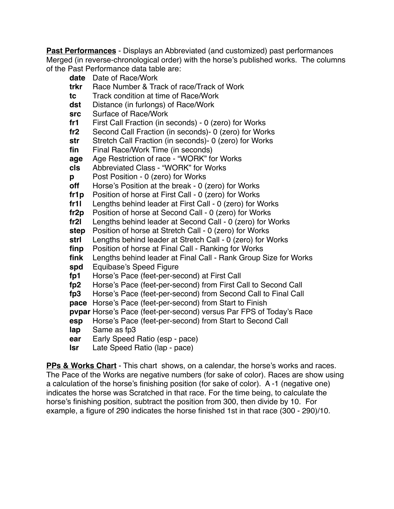**Past Performances** - Displays an Abbreviated (and customized) past performances Merged (in reverse-chronological order) with the horse's published works. The columns of the Past Performance data table are:

- **date** Date of Race/Work
- **trkr** Race Number & Track of race/Track of Work
- **tc** Track condition at time of Race/Work
- **dst** Distance (in furlongs) of Race/Work
- **src** Surface of Race/Work
- **fr1** First Call Fraction (in seconds) 0 (zero) for Works
- **fr2** Second Call Fraction (in seconds)- 0 (zero) for Works
- **str** Stretch Call Fraction (in seconds)- 0 (zero) for Works
- **fin** Final Race/Work Time (in seconds)
- **age** Age Restriction of race "WORK" for Works
- **cls** Abbreviated Class "WORK" for Works
- **p** Post Position 0 (zero) for Works
- **off** Horse's Position at the break 0 (zero) for Works
- **fr1p** Position of horse at First Call 0 (zero) for Works
- **fr1l** Lengths behind leader at First Call 0 (zero) for Works
- **fr2p** Position of horse at Second Call 0 (zero) for Works
- **fr2l** Lengths behind leader at Second Call 0 (zero) for Works
- **step** Position of horse at Stretch Call 0 (zero) for Works
- **strl** Lengths behind leader at Stretch Call 0 (zero) for Works
- **finp** Position of horse at Final Call Ranking for Works
- **fink** Lengths behind leader at Final Call Rank Group Size for Works
- **spd** Equibase's Speed Figure
- **fp1** Horse's Pace (feet-per-second) at First Call
- **fp2** Horse's Pace (feet-per-second) from First Call to Second Call
- **fp3** Horse's Pace (feet-per-second) from Second Call to Final Call
- **pace** Horse's Pace (feet-per-second) from Start to Finish
- **pvpar** Horse's Pace (feet-per-second) versus Par FPS of Today's Race
- **esp** Horse's Pace (feet-per-second) from Start to Second Call
- **lap** Same as fp3
- **ear** Early Speed Ratio (esp pace)
- **lsr** Late Speed Ratio (lap pace)

**PPs & Works Chart** - This chart shows, on a calendar, the horse's works and races. The Pace of the Works are negative numbers (for sake of color). Races are show using a calculation of the horse's finishing position (for sake of color). A -1 (negative one) indicates the horse was Scratched in that race. For the time being, to calculate the horse's finishing position, subtract the position from 300, then divide by 10. For example, a figure of 290 indicates the horse finished 1st in that race (300 - 290)/10.